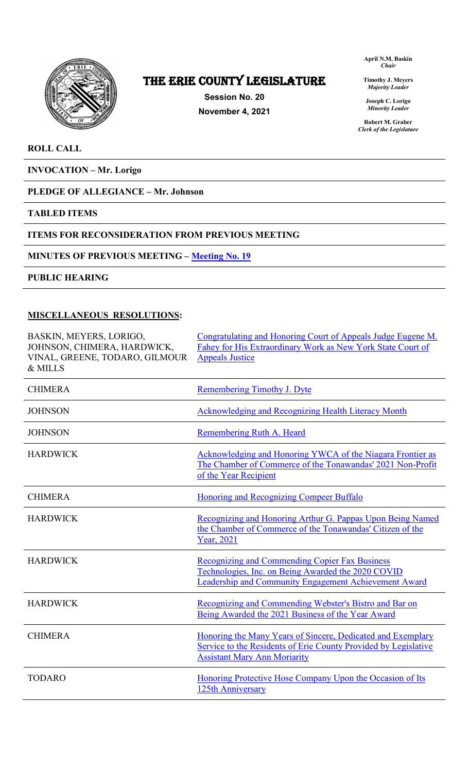

## The ERIE COUNTY LEGISLATURE

**Session No. 20 November 4, 2021** **April N.M. Baskin** *Chair*

**Timothy J. Meyers** *Majority Leader*

**Joseph C. Lorigo** *Minority Leader*

**Robert M. Graber** *Clerk of the Legislature*

### **ROLL CALL**

**INVOCATION – Mr. Lorigo**

## **PLEDGE OF ALLEGIANCE – Mr. Johnson**

**TABLED ITEMS** 

### **ITEMS FOR RECONSIDERATION FROM PREVIOUS MEETING**

### **MINUTES OF PREVIOUS MEETING – [Meeting No. 19](https://www2.erie.gov/legislature/sites/www2.erie.gov.legislature/files/uploads/Session_Folders/2021/20/Meeting%2019%20from%202021%20minutes.pdf)**

**PUBLIC HEARING**

### **MISCELLANEOUS RESOLUTIONS:**

| BASKIN, MEYERS, LORIGO,<br>JOHNSON, CHIMERA, HARDWICK,<br>VINAL, GREENE, TODARO, GILMOUR<br>& MILLS | Congratulating and Honoring Court of Appeals Judge Eugene M.<br>Fahey for His Extraordinary Work as New York State Court of<br><b>Appeals Justice</b>                 |
|-----------------------------------------------------------------------------------------------------|-----------------------------------------------------------------------------------------------------------------------------------------------------------------------|
| <b>CHIMERA</b>                                                                                      | Remembering Timothy J. Dyte                                                                                                                                           |
| <b>JOHNSON</b>                                                                                      | Acknowledging and Recognizing Health Literacy Month                                                                                                                   |
| <b>JOHNSON</b>                                                                                      | Remembering Ruth A. Heard                                                                                                                                             |
| <b>HARDWICK</b>                                                                                     | Acknowledging and Honoring YWCA of the Niagara Frontier as<br>The Chamber of Commerce of the Tonawandas' 2021 Non-Profit<br>of the Year Recipient                     |
| <b>CHIMERA</b>                                                                                      | Honoring and Recognizing Compeer Buffalo                                                                                                                              |
| <b>HARDWICK</b>                                                                                     | Recognizing and Honoring Arthur G. Pappas Upon Being Named<br>the Chamber of Commerce of the Tonawandas' Citizen of the<br>Year, 2021                                 |
| <b>HARDWICK</b>                                                                                     | <b>Recognizing and Commending Copier Fax Business</b><br>Technologies, Inc. on Being Awarded the 2020 COVID<br>Leadership and Community Engagement Achievement Award  |
| <b>HARDWICK</b>                                                                                     | Recognizing and Commending Webster's Bistro and Bar on<br>Being Awarded the 2021 Business of the Year Award                                                           |
| <b>CHIMERA</b>                                                                                      | Honoring the Many Years of Sincere, Dedicated and Exemplary<br>Service to the Residents of Erie County Provided by Legislative<br><b>Assistant Mary Ann Moriarity</b> |
| <b>TODARO</b>                                                                                       | Honoring Protective Hose Company Upon the Occasion of Its<br>125th Anniversary                                                                                        |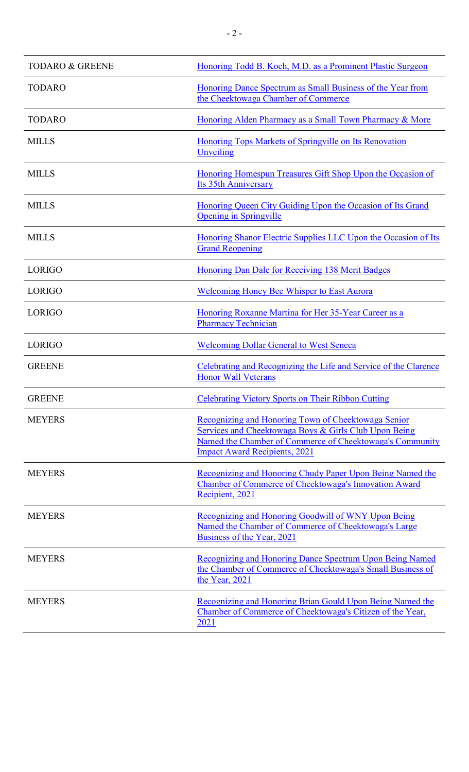| <b>TODARO &amp; GREENE</b> | Honoring Todd B. Koch, M.D. as a Prominent Plastic Surgeon                                                                                                                                                       |
|----------------------------|------------------------------------------------------------------------------------------------------------------------------------------------------------------------------------------------------------------|
| <b>TODARO</b>              | Honoring Dance Spectrum as Small Business of the Year from<br>the Cheektowaga Chamber of Commerce                                                                                                                |
| <b>TODARO</b>              | Honoring Alden Pharmacy as a Small Town Pharmacy & More                                                                                                                                                          |
| <b>MILLS</b>               | Honoring Tops Markets of Springville on Its Renovation<br>Unveiling                                                                                                                                              |
| <b>MILLS</b>               | Honoring Homespun Treasures Gift Shop Upon the Occasion of<br><b>Its 35th Anniversary</b>                                                                                                                        |
| <b>MILLS</b>               | Honoring Queen City Guiding Upon the Occasion of Its Grand<br><b>Opening in Springville</b>                                                                                                                      |
| <b>MILLS</b>               | Honoring Shanor Electric Supplies LLC Upon the Occasion of Its<br><b>Grand Reopening</b>                                                                                                                         |
| <b>LORIGO</b>              | Honoring Dan Dale for Receiving 138 Merit Badges                                                                                                                                                                 |
| LORIGO                     | <b>Welcoming Honey Bee Whisper to East Aurora</b>                                                                                                                                                                |
| <b>LORIGO</b>              | Honoring Roxanne Martina for Her 35-Year Career as a<br><b>Pharmacy Technician</b>                                                                                                                               |
| <b>LORIGO</b>              | <b>Welcoming Dollar General to West Seneca</b>                                                                                                                                                                   |
| <b>GREENE</b>              | Celebrating and Recognizing the Life and Service of the Clarence<br><b>Honor Wall Veterans</b>                                                                                                                   |
| <b>GREENE</b>              | <b>Celebrating Victory Sports on Their Ribbon Cutting</b>                                                                                                                                                        |
| <b>MEYERS</b>              | Recognizing and Honoring Town of Cheektowaga Senior<br>Services and Cheektowaga Boys & Girls Club Upon Being<br>Named the Chamber of Commerce of Cheektowaga's Community<br><b>Impact Award Recipients, 2021</b> |
| <b>MEYERS</b>              | Recognizing and Honoring Chudy Paper Upon Being Named the<br>Chamber of Commerce of Cheektowaga's Innovation Award<br>Recipient, 2021                                                                            |
| <b>MEYERS</b>              | Recognizing and Honoring Goodwill of WNY Upon Being<br>Named the Chamber of Commerce of Cheektowaga's Large<br>Business of the Year, 2021                                                                        |
| <b>MEYERS</b>              | <b>Recognizing and Honoring Dance Spectrum Upon Being Named</b><br>the Chamber of Commerce of Cheektowaga's Small Business of<br>the Year, 2021                                                                  |
| <b>MEYERS</b>              | Recognizing and Honoring Brian Gould Upon Being Named the<br>Chamber of Commerce of Cheektowaga's Citizen of the Year,<br>2021                                                                                   |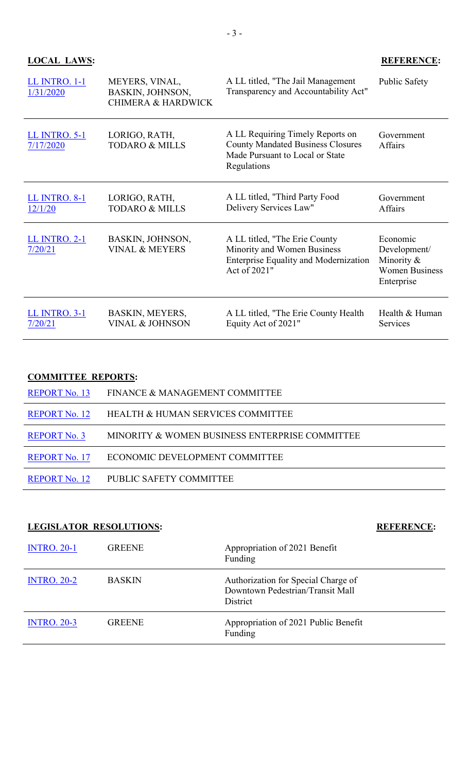| LL INTRO. 1-1<br>1/31/2020        | MEYERS, VINAL,<br>BASKIN, JOHNSON,<br><b>CHIMERA &amp; HARDWICK</b> | A LL titled, "The Jail Management"<br>Transparency and Accountability Act"                                                     | Public Safety                                                                 |
|-----------------------------------|---------------------------------------------------------------------|--------------------------------------------------------------------------------------------------------------------------------|-------------------------------------------------------------------------------|
| <b>LL INTRO. 5-1</b><br>7/17/2020 | LORIGO, RATH,<br><b>TODARO &amp; MILLS</b>                          | A LL Requiring Timely Reports on<br><b>County Mandated Business Closures</b><br>Made Pursuant to Local or State<br>Regulations | Government<br>Affairs                                                         |
| <b>LL INTRO. 8-1</b><br>12/1/20   | LORIGO, RATH,<br><b>TODARO &amp; MILLS</b>                          | A LL titled, "Third Party Food<br>Delivery Services Law"                                                                       | Government<br>Affairs                                                         |
| <b>LL INTRO. 2-1</b><br>7/20/21   | BASKIN, JOHNSON,<br><b>VINAL &amp; MEYERS</b>                       | A LL titled, "The Erie County"<br>Minority and Women Business<br><b>Enterprise Equality and Modernization</b><br>Act of 2021"  | Economic<br>Development/<br>Minority &<br><b>Women Business</b><br>Enterprise |
| <b>LL INTRO. 3-1</b><br>7/20/21   | BASKIN, MEYERS,<br><b>VINAL &amp; JOHNSON</b>                       | A LL titled, "The Erie County Health<br>Equity Act of 2021"                                                                    | Health & Human<br>Services                                                    |

## **COMMITTEE REPORTS:**

| <b>REPORT No. 13</b> | FINANCE & MANAGEMENT COMMITTEE                 |
|----------------------|------------------------------------------------|
| <b>REPORT No. 12</b> | <b>HEALTH &amp; HUMAN SERVICES COMMITTEE</b>   |
| <b>REPORT No. 3</b>  | MINORITY & WOMEN BUSINESS ENTERPRISE COMMITTEE |
| <b>REPORT No. 17</b> | ECONOMIC DEVELOPMENT COMMITTEE                 |
| <b>REPORT No. 12</b> | PUBLIC SAFETY COMMITTEE                        |

## **LEGISLATOR RESOLUTIONS: REFERENCE:**

| <b>INTRO. 20-1</b> | <b>GREENE</b> | Appropriation of 2021 Benefit<br>Funding                                            |
|--------------------|---------------|-------------------------------------------------------------------------------------|
| <b>INTRO. 20-2</b> | <b>BASKIN</b> | Authorization for Special Charge of<br>Downtown Pedestrian/Transit Mall<br>District |
| <b>INTRO. 20-3</b> | <b>GREENE</b> | Appropriation of 2021 Public Benefit<br>Funding                                     |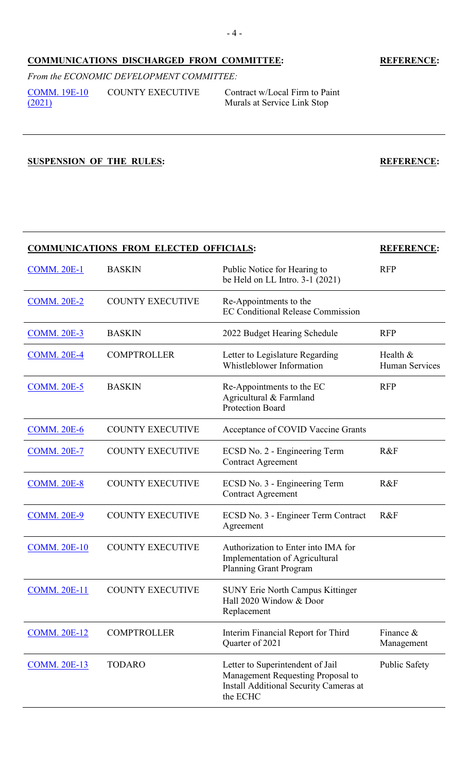## **COMMUNICATIONS DISCHARGED FROM COMMITTEE: REFERENCE:**

*From the ECONOMIC DEVELOPMENT COMMITTEE:* [COMM. 19E-10](https://www2.erie.gov/legislature/sites/www2.erie.gov.legislature/files/uploads/Session_Folders/2021/19/DISCHARGE_21COMM.%2019E-10.pdf)  [\(2021\)](https://www2.erie.gov/legislature/sites/www2.erie.gov.legislature/files/uploads/Session_Folders/2021/19/DISCHARGE_21COMM.%2019E-10.pdf) COUNTY EXECUTIVE Contract w/Local Firm to Paint

Murals at Service Link Stop

**SUSPENSION OF THE RULES: REFERENCE:**

## **COMMUNICATIONS FROM ELECTED OFFICIALS: REFERENCE:**

| <b>COMM. 20E-1</b>  | <b>BASKIN</b>           | Public Notice for Hearing to<br>be Held on LL Intro. 3-1 (2021)                                                             | <b>RFP</b>                 |
|---------------------|-------------------------|-----------------------------------------------------------------------------------------------------------------------------|----------------------------|
| <b>COMM. 20E-2</b>  | <b>COUNTY EXECUTIVE</b> | Re-Appointments to the<br><b>EC Conditional Release Commission</b>                                                          |                            |
| <b>COMM. 20E-3</b>  | <b>BASKIN</b>           | 2022 Budget Hearing Schedule                                                                                                | <b>RFP</b>                 |
| <b>COMM. 20E-4</b>  | <b>COMPTROLLER</b>      | Letter to Legislature Regarding<br>Whistleblower Information                                                                | Health &<br>Human Services |
| <b>COMM. 20E-5</b>  | <b>BASKIN</b>           | Re-Appointments to the EC<br>Agricultural & Farmland<br><b>Protection Board</b>                                             | <b>RFP</b>                 |
| <b>COMM. 20E-6</b>  | <b>COUNTY EXECUTIVE</b> | Acceptance of COVID Vaccine Grants                                                                                          |                            |
| <b>COMM. 20E-7</b>  | <b>COUNTY EXECUTIVE</b> | ECSD No. 2 - Engineering Term<br><b>Contract Agreement</b>                                                                  | R&F                        |
| <b>COMM. 20E-8</b>  | <b>COUNTY EXECUTIVE</b> | ECSD No. 3 - Engineering Term<br><b>Contract Agreement</b>                                                                  | R&F                        |
| <b>COMM. 20E-9</b>  | <b>COUNTY EXECUTIVE</b> | ECSD No. 3 - Engineer Term Contract<br>Agreement                                                                            | R&F                        |
| <b>COMM. 20E-10</b> | <b>COUNTY EXECUTIVE</b> | Authorization to Enter into IMA for<br>Implementation of Agricultural<br><b>Planning Grant Program</b>                      |                            |
| <b>COMM. 20E-11</b> | <b>COUNTY EXECUTIVE</b> | <b>SUNY Erie North Campus Kittinger</b><br>Hall 2020 Window & Door<br>Replacement                                           |                            |
| <b>COMM. 20E-12</b> | <b>COMPTROLLER</b>      | Interim Financial Report for Third<br>Quarter of 2021                                                                       | Finance $\&$<br>Management |
| <b>COMM. 20E-13</b> | <b>TODARO</b>           | Letter to Superintendent of Jail<br>Management Requesting Proposal to<br>Install Additional Security Cameras at<br>the ECHC | <b>Public Safety</b>       |